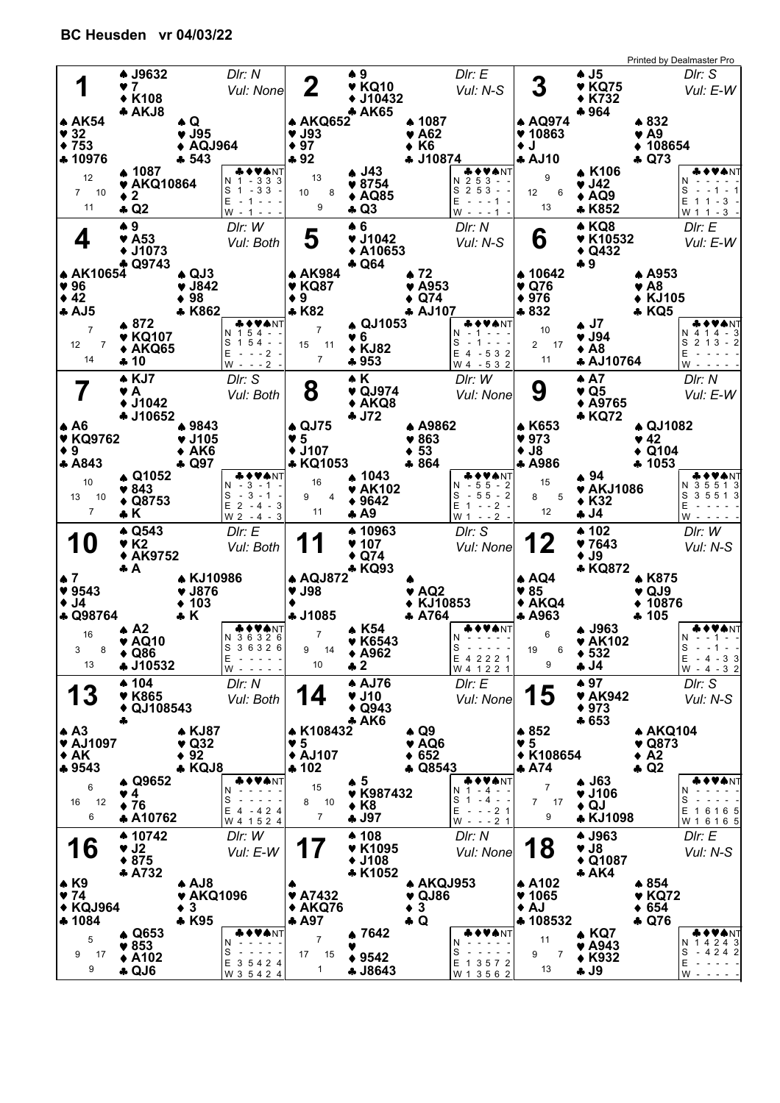